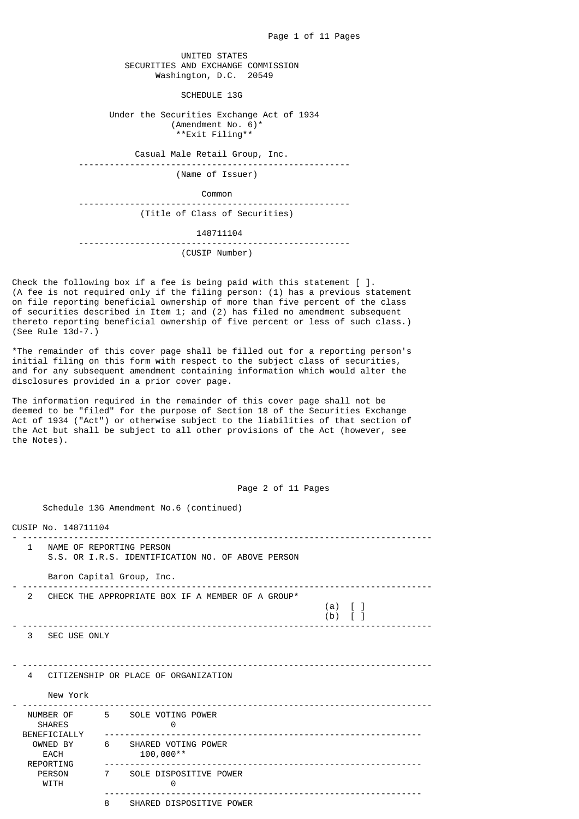UNITED STATES SECURITIES AND EXCHANGE COMMISSION Washington, D.C. 20549

SCHEDULE 13G

 Under the Securities Exchange Act of 1934 (Amendment No. 6)\* \*\*Exit Filing\*\*

Casual Male Retail Group, Inc.

-----------------------------------------------------

(Name of Issuer)

 Common -----------------------------------------------------

(Title of Class of Securities)

 148711104 -----------------------------------------------------

(CUSIP Number)

Check the following box if a fee is being paid with this statement  $\lceil \ \rceil$ . (A fee is not required only if the filing person: (1) has a previous statement on file reporting beneficial ownership of more than five percent of the class of securities described in Item 1; and (2) has filed no amendment subsequent thereto reporting beneficial ownership of five percent or less of such class.) (See Rule 13d-7.)

\*The remainder of this cover page shall be filled out for a reporting person's initial filing on this form with respect to the subject class of securities, and for any subsequent amendment containing information which would alter the disclosures provided in a prior cover page.

The information required in the remainder of this cover page shall not be deemed to be "filed" for the purpose of Section 18 of the Securities Exchange Act of 1934 ("Act") or otherwise subject to the liabilities of that section of the Act but shall be subject to all other provisions of the Act (however, see the Notes).

 Schedule 13G Amendment No.6 (continued) CUSIP No. 148711104 - -------------------------------------------------------------------------------- 1 NAME OF REPORTING PERSON S.S. OR I.R.S. IDENTIFICATION NO. OF ABOVE PERSON Baron Capital Group, Inc. - -------------------------------------------------------------------------------- 2 CHECK THE APPROPRIATE BOX IF A MEMBER OF A GROUP\* (a) [ ] (b)  $\begin{bmatrix} 1 \end{bmatrix}$ - -------------------------------------------------------------------------------- 3 SEC USE ONLY  $-$  4 CITIZENSHIP OR PLACE OF ORGANIZATION New York - -------------------------------------------------------------------------------- NUMBER OF 5 SOLE VOTING POWER SHARES 0 BENEFICIALLY -------------------------------------------------------------- WNED BY 6 SHARED VOTING POWER<br>EACH 100.000\*\* EACH 100,000\*\*<br>REPORTING ----------------- REPORTING -------------------------------------------------------------- PERSON 7 SOLE DISPOSITIVE POWER<br>WITH 0  $\overline{0}$  -------------------------------------------------------------- 8 SHARED DISPOSITIVE POWER

Page 2 of 11 Pages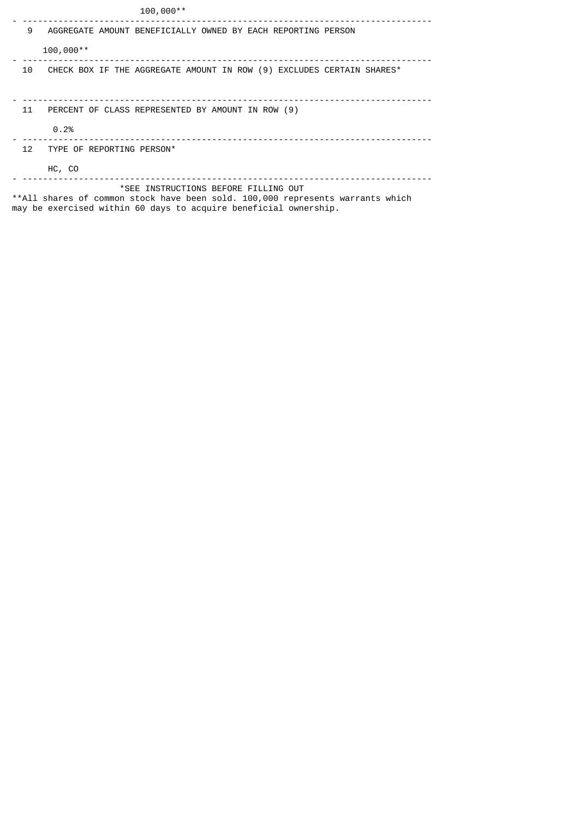|    | $100,000**$                                                                                                                                                                                |
|----|--------------------------------------------------------------------------------------------------------------------------------------------------------------------------------------------|
| 9  | AGGREGATE AMOUNT BENEFICIALLY OWNED BY EACH REPORTING PERSON                                                                                                                               |
|    | $100,000**$                                                                                                                                                                                |
| 10 | CHECK BOX IF THE AGGREGATE AMOUNT IN ROW (9) EXCLUDES CERTAIN SHARES*                                                                                                                      |
|    |                                                                                                                                                                                            |
| 11 | PERCENT OF CLASS REPRESENTED BY AMOUNT IN ROW (9)                                                                                                                                          |
|    | 0.2%                                                                                                                                                                                       |
| 12 | TYPE OF REPORTING PERSON*                                                                                                                                                                  |
|    | HC, CO                                                                                                                                                                                     |
|    | *SEE INSTRUCTIONS BEFORE FILLING OUT<br>**All shares of common stock have been sold. 100,000 represents warrants which<br>may be exercised within 60 days to acquire beneficial ownership. |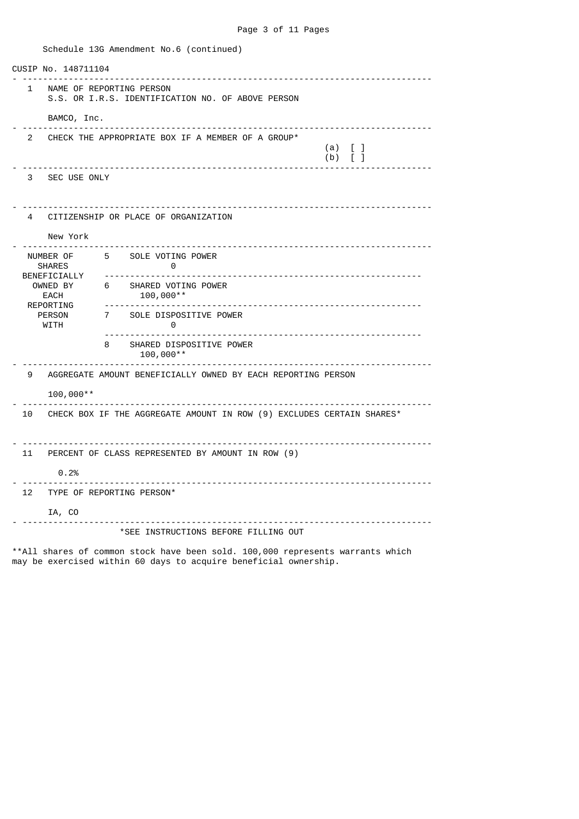CUSIP No. 148711104 - -------------------------------------------------------------------------------- 1 NAME OF REPORTING PERSON S.S. OR I.R.S. IDENTIFICATION NO. OF ABOVE PERSON BAMCO, Inc. - -------------------------------------------------------------------------------- 2 CHECK THE APPROPRIATE BOX IF A MEMBER OF A GROUP\*  $(a) \quad [ \quad ]$ (b)  $\begin{bmatrix} 1 \end{bmatrix}$ - -------------------------------------------------------------------------------- 3 SEC USE ONLY - -------------------------------------------------------------------------------- 4 CITIZENSHIP OR PLACE OF ORGANIZATION New York - -------------------------------------------------------------------------------- NUMBER OF 5 SOLE VOTING POWER SHARES 0<br>BENEFICIALLY ------------------ BENEFICIALLY -------------------------------------------------------------- OWNED BY 6 SHARED VOTING POWER<br>EACH 100.000\*\* EACH 100,000\*\* REPORTING -------------------------------------------------------------- 7 SOLE DISPOSITIVE POWER WITH 0 -------------------------------------------------------------- 8 SHARED DISPOSITIVE POWER 100,000\*\* - -------------------------------------------------------------------------------- 9 AGGREGATE AMOUNT BENEFICIALLY OWNED BY EACH REPORTING PERSON 100,000\*\* - -------------------------------------------------------------------------------- 10 CHECK BOX IF THE AGGREGATE AMOUNT IN ROW (9) EXCLUDES CERTAIN SHARES\* - -------------------------------------------------------------------------------- 11 PERCENT OF CLASS REPRESENTED BY AMOUNT IN ROW (9) 0.2% - -------------------------------------------------------------------------------- 12 TYPE OF REPORTING PERSON\* IA, CO - -------------------------------------------------------------------------------- \*SEE INSTRUCTIONS BEFORE FILLING OUT

Schedule 13G Amendment No.6 (continued)

\*\*All shares of common stock have been sold. 100,000 represents warrants which may be exercised within 60 days to acquire beneficial ownership.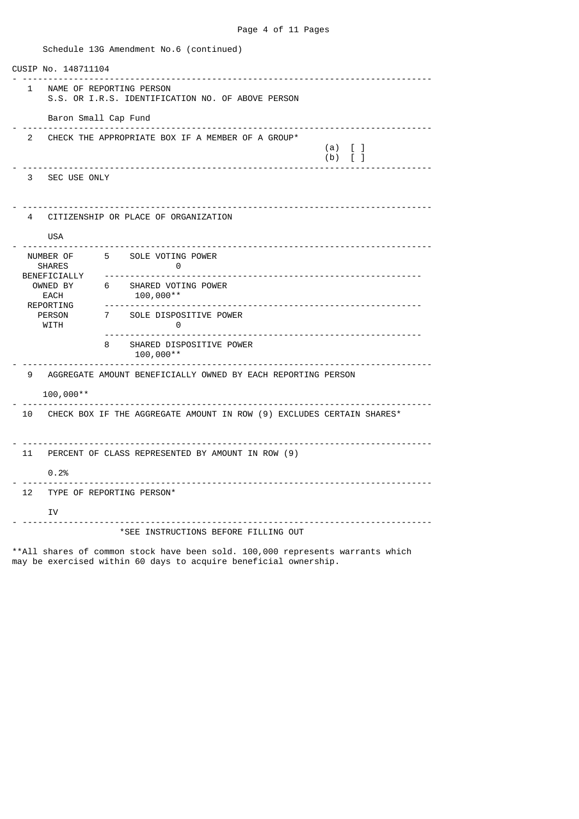Schedule 13G Amendment No.6 (continued) CUSIP No. 148711104 - -------------------------------------------------------------------------------- 1 NAME OF REPORTING PERSON S.S. OR I.R.S. IDENTIFICATION NO. OF ABOVE PERSON Baron Small Cap Fund - -------------------------------------------------------------------------------- 2 CHECK THE APPROPRIATE BOX IF A MEMBER OF A GROUP\*  $(a) \quad [ \quad ]$ (b)  $\begin{bmatrix} 1 \end{bmatrix}$ - -------------------------------------------------------------------------------- 3 SEC USE ONLY - -------------------------------------------------------------------------------- 4 CITIZENSHIP OR PLACE OF ORGANIZATION USA - -------------------------------------------------------------------------------- NUMBER OF 5 SOLE VOTING POWER SHARES 0 BENEFICIALLY -------------------------------------------------------------- OWNED BY 6 SHARED VOTING POWER<br>EACH 100.000\*\* EACH 100,000\*\*<br>REPORTING ---------------<br>PERSON 7 SOLE DISPOS REPORTING -------------------------------------------------------------- 7 SOLE DISPOSITIVE POWER WITH 0 -------------------------------------------------------------- 8 SHARED DISPOSITIVE POWER 100,000\*\* - -------------------------------------------------------------------------------- 9 AGGREGATE AMOUNT BENEFICIALLY OWNED BY EACH REPORTING PERSON 100,000\*\* - -------------------------------------------------------------------------------- 10 CHECK BOX IF THE AGGREGATE AMOUNT IN ROW (9) EXCLUDES CERTAIN SHARES\* - -------------------------------------------------------------------------------- 11 PERCENT OF CLASS REPRESENTED BY AMOUNT IN ROW (9)  $0.2%$ - -------------------------------------------------------------------------------- 12 TYPE OF REPORTING PERSON\* TV - -------------------------------------------------------------------------------- \*SEE INSTRUCTIONS BEFORE FILLING OUT \*\*All shares of common stock have been sold. 100,000 represents warrants which

may be exercised within 60 days to acquire beneficial ownership.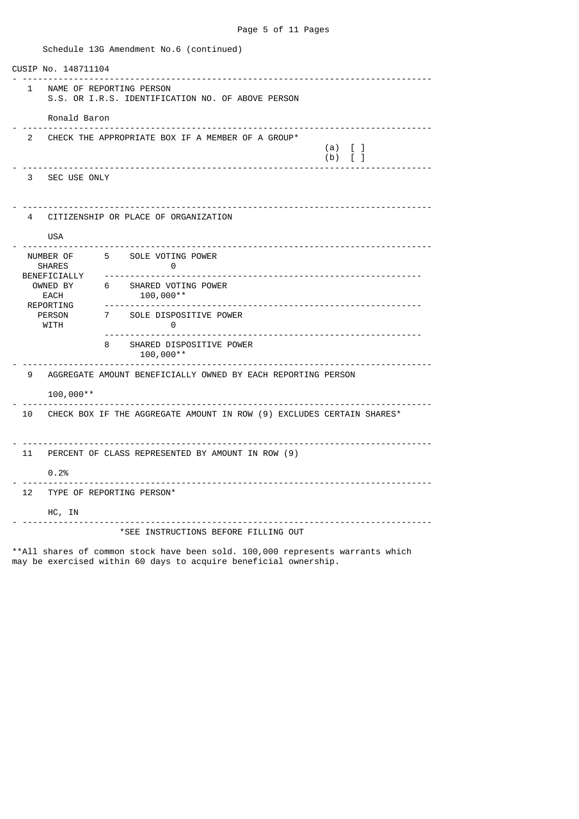Schedule 13G Amendment No.6 (continued) CUSIP No. 148711104 - -------------------------------------------------------------------------------- 1 NAME OF REPORTING PERSON S.S. OR I.R.S. IDENTIFICATION NO. OF ABOVE PERSON Ronald Baron - -------------------------------------------------------------------------------- 2 CHECK THE APPROPRIATE BOX IF A MEMBER OF A GROUP\*  $(a) \quad [ \quad ]$ (b)  $\begin{bmatrix} 1 \end{bmatrix}$ - -------------------------------------------------------------------------------- 3 SEC USE ONLY - -------------------------------------------------------------------------------- 4 CITIZENSHIP OR PLACE OF ORGANIZATION USA - -------------------------------------------------------------------------------- NUMBER OF 5 SOLE VOTING POWER SHARES 0 BENEFICIALLY -------------------------------------------------------------- OWNED BY 6 SHARED VOTING POWER<br>EACH 100.000\*\* EACH 100,000\*\* REPORTING -------------------------------------------------------------- 7 SOLE DISPOSITIVE POWER WITH 0 -------------------------------------------------------------- 8 SHARED DISPOSITIVE POWER 100,000\*\* - -------------------------------------------------------------------------------- 9 AGGREGATE AMOUNT BENEFICIALLY OWNED BY EACH REPORTING PERSON 100,000\*\* - -------------------------------------------------------------------------------- 10 CHECK BOX IF THE AGGREGATE AMOUNT IN ROW (9) EXCLUDES CERTAIN SHARES\* - -------------------------------------------------------------------------------- 11 PERCENT OF CLASS REPRESENTED BY AMOUNT IN ROW (9)  $0.2%$ - -------------------------------------------------------------------------------- 12 TYPE OF REPORTING PERSON\* HC, IN - -------------------------------------------------------------------------------- \*SEE INSTRUCTIONS BEFORE FILLING OUT \*\*All shares of common stock have been sold. 100,000 represents warrants which

may be exercised within 60 days to acquire beneficial ownership.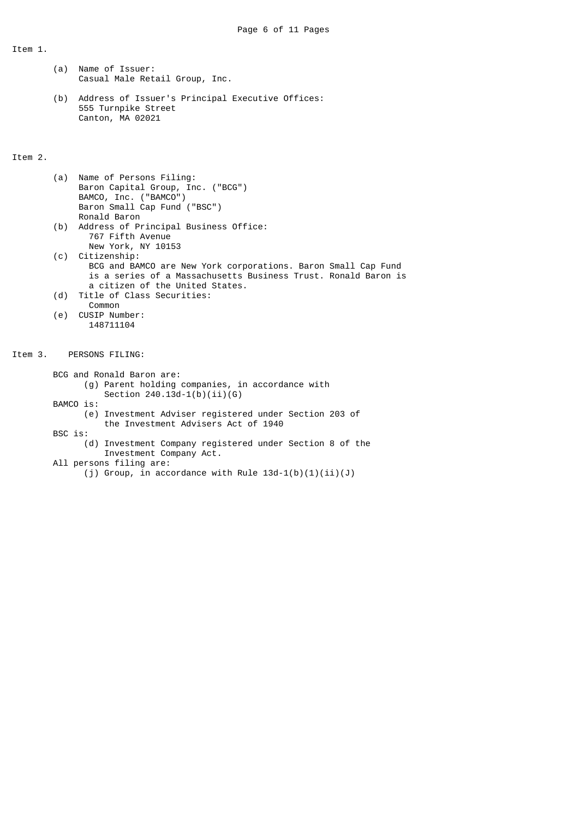Item 1.

- (a) Name of Issuer: Casual Male Retail Group, Inc.
- (b) Address of Issuer's Principal Executive Offices: 555 Turnpike Street Canton, MA 02021

# Item 2.

| (a) Name of Persons Filing:               |
|-------------------------------------------|
| Baron Capital Group, Inc. ("BCG")         |
| BAMCO, Inc. ("BAMCO")                     |
| Baron Small Cap Fund ("BSC")              |
| Ronald Baron                              |
| (b) Address of Principal Business Office: |
| 767 Fifth Avenue                          |

- New York, NY 10153 (c) Citizenship:
- BCG and BAMCO are New York corporations. Baron Small Cap Fund is a series of a Massachusetts Business Trust. Ronald Baron is a citizen of the United States.
- (d) Title of Class Securities: Common
- (e) CUSIP Number: 148711104

#### Item 3. PERSONS FILING:

 BCG and Ronald Baron are: (g) Parent holding companies, in accordance with Section  $240.13d-1(b)(ii)(G)$  BAMCO is: (e) Investment Adviser registered under Section 203 of the Investment Advisers Act of 1940 BSC is: (d) Investment Company registered under Section 8 of the

Investment Company Act.

All persons filing are:

(j) Group, in accordance with Rule  $13d-1(b)(1)(ii)(J)$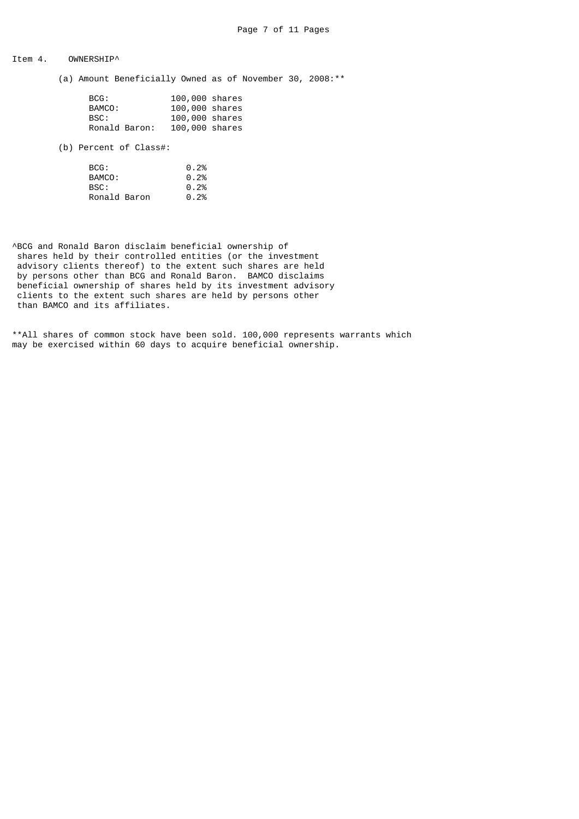## Item 4. OWNERSHIP^

(a) Amount Beneficially Owned as of November 30, 2008:\*\*

| BCG:          | 100,000 shares |  |
|---------------|----------------|--|
| BAMCO:        | 100,000 shares |  |
| BSC:          | 100,000 shares |  |
| Ronald Baron: | 100,000 shares |  |

(b) Percent of Class#:

| BCG:         | 0.2% |
|--------------|------|
| BAMCO:       | 0.2% |
| BSC:         | 0.2% |
| Ronald Baron | 0.2% |

^BCG and Ronald Baron disclaim beneficial ownership of shares held by their controlled entities (or the investment advisory clients thereof) to the extent such shares are held by persons other than BCG and Ronald Baron. BAMCO disclaims beneficial ownership of shares held by its investment advisory clients to the extent such shares are held by persons other than BAMCO and its affiliates.

\*\*All shares of common stock have been sold. 100,000 represents warrants which may be exercised within 60 days to acquire beneficial ownership.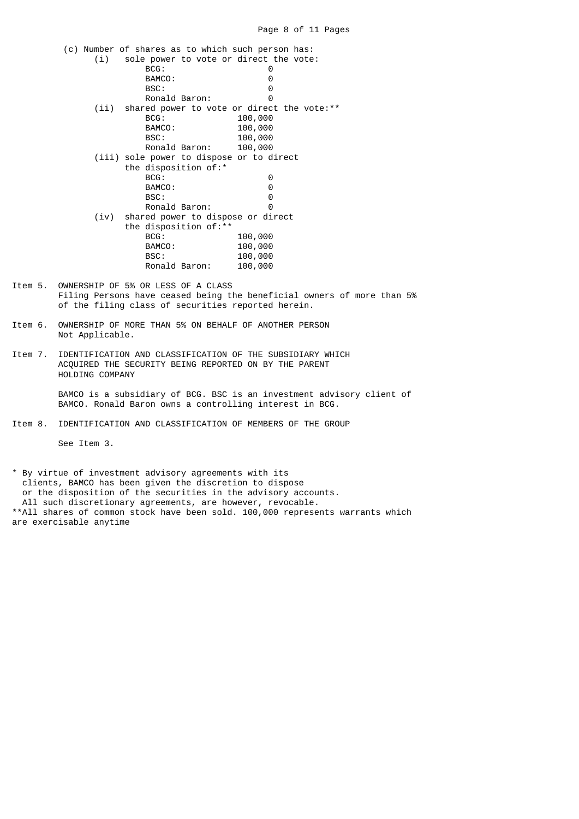| (i)  | (c) Number of shares as to which such person has:<br>sole power to vote or direct the vote: |         |
|------|---------------------------------------------------------------------------------------------|---------|
|      | BCG:                                                                                        | ⊙       |
|      | BAMCO:                                                                                      | Θ       |
|      | BSC:                                                                                        | 0       |
|      | Ronald Baron:                                                                               | Θ       |
|      |                                                                                             |         |
| (ii) | shared power to vote or direct the vote: **<br>BCG:                                         |         |
|      |                                                                                             | 100,000 |
|      | BAMCO:                                                                                      | 100,000 |
|      | BSC:                                                                                        | 100,000 |
|      | Ronald Baron:                                                                               | 100,000 |
|      | (iii) sole power to dispose or to direct                                                    |         |
|      | the disposition of:*                                                                        |         |
|      | BCG:                                                                                        | 0       |
|      | BAMCO:                                                                                      | Θ       |
|      | BSC:                                                                                        | Θ       |
|      | Ronald Baron:                                                                               | Θ       |
| (iv) | shared power to dispose or direct                                                           |         |
|      | the disposition of: **                                                                      |         |
|      | BCG:                                                                                        | 100,000 |
|      | BAMCO:                                                                                      | 100,000 |
|      | BSC:                                                                                        | 100,000 |
|      | Ronald Baron:                                                                               | 100,000 |
|      |                                                                                             |         |

- Item 5. OWNERSHIP OF 5% OR LESS OF A CLASS Filing Persons have ceased being the beneficial owners of more than 5% of the filing class of securities reported herein.
- Item 6. OWNERSHIP OF MORE THAN 5% ON BEHALF OF ANOTHER PERSON Not Applicable.
- Item 7. IDENTIFICATION AND CLASSIFICATION OF THE SUBSIDIARY WHICH ACQUIRED THE SECURITY BEING REPORTED ON BY THE PARENT HOLDING COMPANY

 BAMCO is a subsidiary of BCG. BSC is an investment advisory client of BAMCO. Ronald Baron owns a controlling interest in BCG.

Item 8. IDENTIFICATION AND CLASSIFICATION OF MEMBERS OF THE GROUP

See Item 3.

\* By virtue of investment advisory agreements with its clients, BAMCO has been given the discretion to dispose or the disposition of the securities in the advisory accounts. All such discretionary agreements, are however, revocable. \*\*All shares of common stock have been sold. 100,000 represents warrants which are exercisable anytime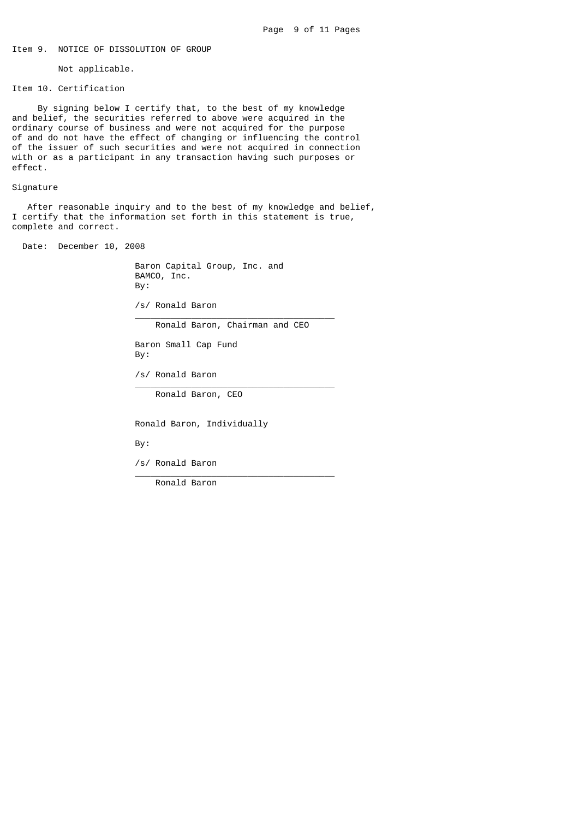# Item 9. NOTICE OF DISSOLUTION OF GROUP

Not applicable.

Item 10. Certification

 By signing below I certify that, to the best of my knowledge and belief, the securities referred to above were acquired in the ordinary course of business and were not acquired for the purpose of and do not have the effect of changing or influencing the control of the issuer of such securities and were not acquired in connection with or as a participant in any transaction having such purposes or effect.

#### Signature

 After reasonable inquiry and to the best of my knowledge and belief, I certify that the information set forth in this statement is true, complete and correct.

Date: December 10, 2008

 Baron Capital Group, Inc. and BAMCO, Inc. By:

 /s/ Ronald Baron  $\overline{\phantom{a}}$  , and the state of the state of the state of the state of the state of the state of the state of the state of the state of the state of the state of the state of the state of the state of the state of the stat

Ronald Baron, Chairman and CEO

 Baron Small Cap Fund By:

 /s/ Ronald Baron  $\frac{1}{2}$  , and the set of the set of the set of the set of the set of the set of the set of the set of the set of the set of the set of the set of the set of the set of the set of the set of the set of the set of the set

Ronald Baron, CEO

Ronald Baron, Individually

By:

 /s/ Ronald Baron  $\frac{1}{2}$  , and the set of the set of the set of the set of the set of the set of the set of the set of the set of the set of the set of the set of the set of the set of the set of the set of the set of the set of the set

Ronald Baron